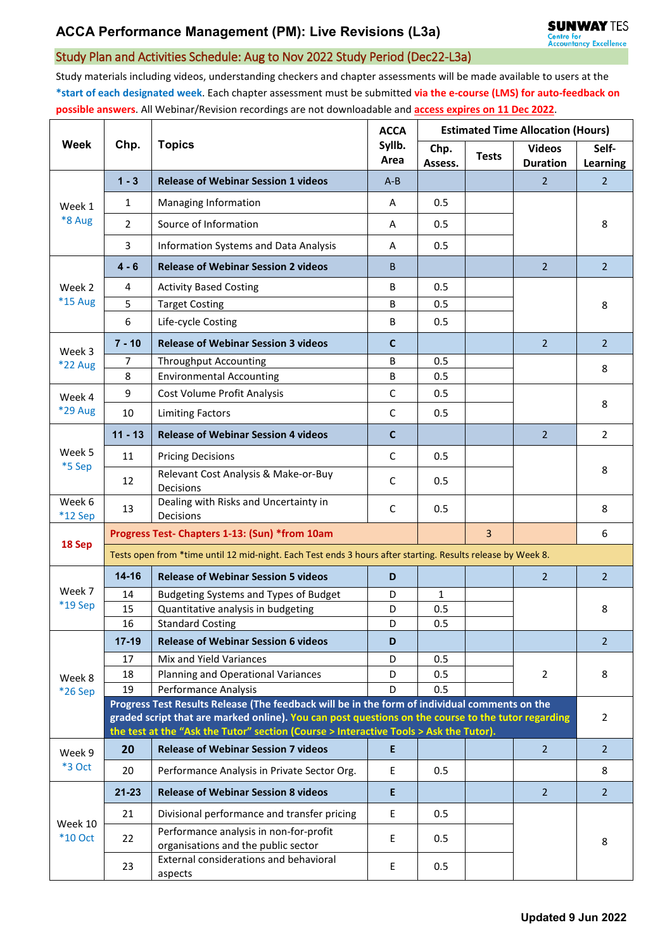## Study Plan and Activities Schedule: Aug to Nov 2022 Study Period (Dec22-L3a)

Study materials including videos, understanding checkers and chapter assessments will be made available to users at the **\*start of each designated week**. Each chapter assessment must be submitted **via the e-course (LMS) for auto-feedback on possible answers**. All Webinar/Revision recordings are not downloadable and **access expires on 11 Dec 2022**.

| <b>Week</b>               | Chp.                                                                                                                                                                                        | <b>Topics</b>                                                                                 | <b>ACCA</b><br>Syllb.<br>Area | <b>Estimated Time Allocation (Hours)</b> |              |                                  |                   |  |  |
|---------------------------|---------------------------------------------------------------------------------------------------------------------------------------------------------------------------------------------|-----------------------------------------------------------------------------------------------|-------------------------------|------------------------------------------|--------------|----------------------------------|-------------------|--|--|
|                           |                                                                                                                                                                                             |                                                                                               |                               | Chp.<br>Assess.                          | <b>Tests</b> | <b>Videos</b><br><b>Duration</b> | Self-<br>Learning |  |  |
| Week 1<br>*8 Aug          | $1 - 3$                                                                                                                                                                                     | <b>Release of Webinar Session 1 videos</b>                                                    | $A - B$                       |                                          |              | $\overline{2}$                   | $\overline{2}$    |  |  |
|                           | 1                                                                                                                                                                                           | Managing Information                                                                          | A                             | 0.5                                      |              |                                  |                   |  |  |
|                           | $\overline{2}$                                                                                                                                                                              | Source of Information                                                                         | A                             | 0.5                                      |              |                                  | 8                 |  |  |
|                           | 3                                                                                                                                                                                           | Information Systems and Data Analysis                                                         | A                             | 0.5                                      |              |                                  |                   |  |  |
| Week 2<br>*15 Aug         | $4 - 6$                                                                                                                                                                                     | <b>Release of Webinar Session 2 videos</b>                                                    | B                             |                                          |              | $\overline{2}$                   | $\overline{2}$    |  |  |
|                           | 4                                                                                                                                                                                           | <b>Activity Based Costing</b>                                                                 | В                             | 0.5                                      |              |                                  |                   |  |  |
|                           | 5                                                                                                                                                                                           | <b>Target Costing</b>                                                                         | В                             | 0.5                                      |              |                                  | 8                 |  |  |
|                           | 6                                                                                                                                                                                           | Life-cycle Costing                                                                            | B                             | 0.5                                      |              |                                  |                   |  |  |
| Week 3                    | $7 - 10$                                                                                                                                                                                    | <b>Release of Webinar Session 3 videos</b>                                                    | C                             |                                          |              | $\overline{2}$                   | $\overline{2}$    |  |  |
| *22 Aug                   | $\overline{7}$                                                                                                                                                                              | <b>Throughput Accounting</b>                                                                  | B                             | 0.5                                      |              |                                  | 8                 |  |  |
|                           | 8                                                                                                                                                                                           | <b>Environmental Accounting</b>                                                               | В                             | 0.5                                      |              |                                  |                   |  |  |
| Week 4                    | 9                                                                                                                                                                                           | Cost Volume Profit Analysis                                                                   | $\mathsf C$                   | 0.5                                      |              |                                  | 8                 |  |  |
| <b>*29 Aug</b>            | 10                                                                                                                                                                                          | <b>Limiting Factors</b>                                                                       | C                             | 0.5                                      |              |                                  |                   |  |  |
|                           | $11 - 13$                                                                                                                                                                                   | <b>Release of Webinar Session 4 videos</b>                                                    | $\mathbf c$                   |                                          |              | $\overline{2}$                   | $\overline{2}$    |  |  |
| Week 5<br>*5 Sep          | 11                                                                                                                                                                                          | <b>Pricing Decisions</b>                                                                      | C                             | 0.5                                      |              |                                  |                   |  |  |
|                           | 12                                                                                                                                                                                          | Relevant Cost Analysis & Make-or-Buy<br>Decisions                                             | C                             | 0.5                                      |              |                                  | 8                 |  |  |
| Week 6<br>$*12$ Sep       | 13                                                                                                                                                                                          | Dealing with Risks and Uncertainty in<br>Decisions                                            | C                             | 0.5                                      |              |                                  | 8                 |  |  |
|                           |                                                                                                                                                                                             | Progress Test- Chapters 1-13: (Sun) *from 10am                                                |                               |                                          | 3            |                                  | 6                 |  |  |
| 18 Sep                    | Tests open from *time until 12 mid-night. Each Test ends 3 hours after starting. Results release by Week 8.                                                                                 |                                                                                               |                               |                                          |              |                                  |                   |  |  |
| Week 7                    | $14 - 16$                                                                                                                                                                                   | <b>Release of Webinar Session 5 videos</b>                                                    | D                             |                                          |              | $\overline{2}$                   | $\overline{2}$    |  |  |
|                           | 14                                                                                                                                                                                          | Budgeting Systems and Types of Budget                                                         | D                             | 1                                        |              |                                  |                   |  |  |
| *19 Sep                   | 15                                                                                                                                                                                          | Quantitative analysis in budgeting                                                            | D                             | 0.5                                      |              |                                  | 8                 |  |  |
|                           | 16                                                                                                                                                                                          | <b>Standard Costing</b>                                                                       | D                             | 0.5                                      |              |                                  |                   |  |  |
|                           | $17 - 19$                                                                                                                                                                                   | <b>Release of Webinar Session 6 videos</b>                                                    | D                             |                                          |              |                                  | $\overline{2}$    |  |  |
| Week 8<br>*26 Sep         | 17                                                                                                                                                                                          | Mix and Yield Variances                                                                       | D                             | 0.5                                      |              |                                  |                   |  |  |
|                           | 18<br>19                                                                                                                                                                                    | Planning and Operational Variances<br>Performance Analysis                                    | D<br>D                        | 0.5<br>0.5                               |              | $\overline{2}$                   | 8                 |  |  |
|                           |                                                                                                                                                                                             | Progress Test Results Release (The feedback will be in the form of individual comments on the |                               |                                          |              |                                  |                   |  |  |
|                           | graded script that are marked online). You can post questions on the course to the tutor regarding<br>the test at the "Ask the Tutor" section (Course > Interactive Tools > Ask the Tutor). |                                                                                               |                               |                                          |              |                                  |                   |  |  |
| Week 9<br>*3 Oct          | 20                                                                                                                                                                                          | <b>Release of Webinar Session 7 videos</b>                                                    | E                             |                                          |              | $\overline{2}$                   | $2^{\circ}$       |  |  |
|                           | 20                                                                                                                                                                                          | Performance Analysis in Private Sector Org.                                                   | Ε                             | 0.5                                      |              |                                  | 8                 |  |  |
| Week 10<br><b>*10 Oct</b> | $21 - 23$                                                                                                                                                                                   | <b>Release of Webinar Session 8 videos</b>                                                    | E                             |                                          |              | $\overline{2}$                   | $\overline{2}$    |  |  |
|                           | 21                                                                                                                                                                                          | Divisional performance and transfer pricing                                                   | E                             | 0.5                                      |              |                                  |                   |  |  |
|                           | 22                                                                                                                                                                                          | Performance analysis in non-for-profit<br>organisations and the public sector                 | E                             | 0.5                                      |              |                                  | 8                 |  |  |
|                           | 23                                                                                                                                                                                          | External considerations and behavioral<br>aspects                                             | Е                             | 0.5                                      |              |                                  |                   |  |  |